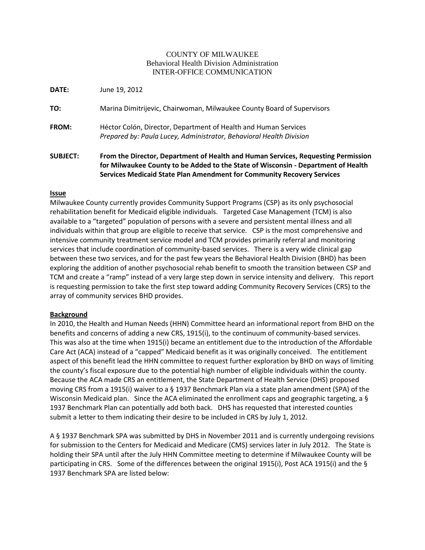## COUNTY OF MILWAUKEE Behavioral Health Division Administration INTER-OFFICE COMMUNICATION

**DATE:** June 19, 2012

**TO:** Marina Dimitrijevic, Chairwoman, Milwaukee County Board of Supervisors

**FROM:** Héctor Colón, Director, Department of Health and Human Services *Prepared by: Paula Lucey, Administrator, Behavioral Health Division*

**SUBJECT: From the Director, Department of Health and Human Services, Requesting Permission for Milwaukee County to be Added to the State of Wisconsin - Department of Health Services Medicaid State Plan Amendment for Community Recovery Services**

## **Issue**

Milwaukee County currently provides Community Support Programs (CSP) as its only psychosocial rehabilitation benefit for Medicaid eligible individuals. Targeted Case Management (TCM) is also available to a "targeted" population of persons with a severe and persistent mental illness and all individuals within that group are eligible to receive that service. CSP is the most comprehensive and intensive community treatment service model and TCM provides primarily referral and monitoring services that include coordination of community-based services. There is a very wide clinical gap between these two services, and for the past few years the Behavioral Health Division (BHD) has been exploring the addition of another psychosocial rehab benefit to smooth the transition between CSP and TCM and create a "ramp" instead of a very large step down in service intensity and delivery. This report is requesting permission to take the first step toward adding Community Recovery Services (CRS) to the array of community services BHD provides.

## **Background**

In 2010, the Health and Human Needs (HHN) Committee heard an informational report from BHD on the benefits and concerns of adding a new CRS, 1915(i), to the continuum of community-based services. This was also at the time when 1915(i) became an entitlement due to the introduction of the Affordable Care Act (ACA) instead of a "capped" Medicaid benefit as it was originally conceived. The entitlement aspect of this benefit lead the HHN committee to request further exploration by BHD on ways of limiting the county's fiscal exposure due to the potential high number of eligible individuals within the county. Because the ACA made CRS an entitlement, the State Department of Health Service (DHS) proposed moving CRS from a 1915(i) waiver to a § 1937 Benchmark Plan via a state plan amendment (SPA) of the Wisconsin Medicaid plan. Since the ACA eliminated the enrollment caps and geographic targeting, a § 1937 Benchmark Plan can potentially add both back. DHS has requested that interested counties submit a letter to them indicating their desire to be included in CRS by July 1, 2012.

A § 1937 Benchmark SPA was submitted by DHS in November 2011 and is currently undergoing revisions for submission to the Centers for Medicaid and Medicare (CMS) services later in July 2012. The State is holding their SPA until after the July HHN Committee meeting to determine if Milwaukee County will be participating in CRS. Some of the differences between the original 1915(i), Post ACA 1915(i) and the § 1937 Benchmark SPA are listed below: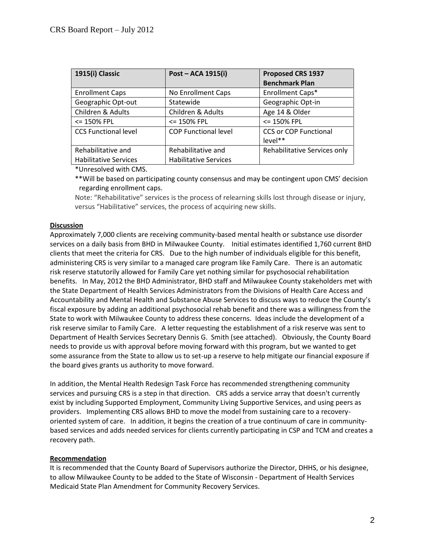| 1915(i) Classic              | Post - ACA 1915(i)           | Proposed CRS 1937<br><b>Benchmark Plan</b> |
|------------------------------|------------------------------|--------------------------------------------|
| <b>Enrollment Caps</b>       | No Enrollment Caps           | Enrollment Caps*                           |
| Geographic Opt-out           | Statewide                    | Geographic Opt-in                          |
| Children & Adults            | Children & Adults            | Age 14 & Older                             |
| <= 150% FPL                  | <= 150% FPL                  | <= 150% FPL                                |
| <b>CCS Functional level</b>  | <b>COP Functional level</b>  | <b>CCS or COP Functional</b>               |
|                              |                              | level**                                    |
| Rehabilitative and           | Rehabilitative and           | Rehabilitative Services only               |
| <b>Habilitative Services</b> | <b>Habilitative Services</b> |                                            |

\*Unresolved with CMS.

\*\*Will be based on participating county consensus and may be contingent upon CMS' decision regarding enrollment caps.

Note: "Rehabilitative" services is the process of relearning skills lost through disease or injury, versus "Habilitative" services, the process of acquiring new skills.

# **Discussion**

Approximately 7,000 clients are receiving community-based mental health or substance use disorder services on a daily basis from BHD in Milwaukee County. Initial estimates identified 1,760 current BHD clients that meet the criteria for CRS. Due to the high number of individuals eligible for this benefit, administering CRS is very similar to a managed care program like Family Care. There is an automatic risk reserve statutorily allowed for Family Care yet nothing similar for psychosocial rehabilitation benefits. In May, 2012 the BHD Administrator, BHD staff and Milwaukee County stakeholders met with the State Department of Health Services Administrators from the Divisions of Health Care Access and Accountability and Mental Health and Substance Abuse Services to discuss ways to reduce the County's fiscal exposure by adding an additional psychosocial rehab benefit and there was a willingness from the State to work with Milwaukee County to address these concerns. Ideas include the development of a risk reserve similar to Family Care. A letter requesting the establishment of a risk reserve was sent to Department of Health Services Secretary Dennis G. Smith (see attached). Obviously, the County Board needs to provide us with approval before moving forward with this program, but we wanted to get some assurance from the State to allow us to set-up a reserve to help mitigate our financial exposure if the board gives grants us authority to move forward.

In addition, the Mental Health Redesign Task Force has recommended strengthening community services and pursuing CRS is a step in that direction. CRS adds a service array that doesn't currently exist by including Supported Employment, Community Living Supportive Services, and using peers as providers. Implementing CRS allows BHD to move the model from sustaining care to a recoveryoriented system of care. In addition, it begins the creation of a true continuum of care in communitybased services and adds needed services for clients currently participating in CSP and TCM and creates a recovery path.

## **Recommendation**

It is recommended that the County Board of Supervisors authorize the Director, DHHS, or his designee, to allow Milwaukee County to be added to the State of Wisconsin - Department of Health Services Medicaid State Plan Amendment for Community Recovery Services.